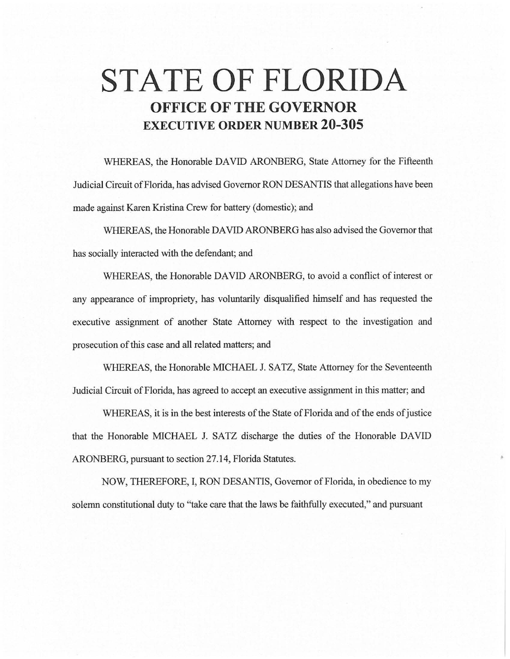# **STATE OF FLORIDA OFFICE OF THE GOVERNOR EXECUTIVE ORDER NUMBER 20-305**

WHEREAS, the Honorable DAVID ARONBERG, State Attorney for the Fifteenth Judicial Circuit of Florida, has advised Governor RON DESANTIS that allegations have been made against Karen Kristina Crew for battery (domestic); and

WHEREAS, the Honorable DAVID ARONBERG has also advised the Governor that has socially interacted with the defendant; and

WHEREAS, the Honorable DAVID ARONBERG, to avoid a conflict of interest or any appearance of impropriety, has voluntarily disqualified himself and has requested the executive assignment of another State Attorney with respect to the investigation and prosecution of this case and all related matters; and

WHEREAS, the Honorable MICHAEL J. SATZ, State Attorney for the Seventeenth Judicial Circuit of Florida, has agreed to accept an executive assignment in this matter; and

WHEREAS, it is in the best interests of the State of Florida and of the ends of justice that the Honorable MICHAEL J. SATZ discharge the duties of the Honorable DAVID ARONBERG, pursuant to section 27.14, Florida Statutes.

NOW, THEREFORE, I, RON DESANTIS, Governor of Florida, in obedience to my solemn constitutional duty to "take care that the laws be faithfully executed," and pursuant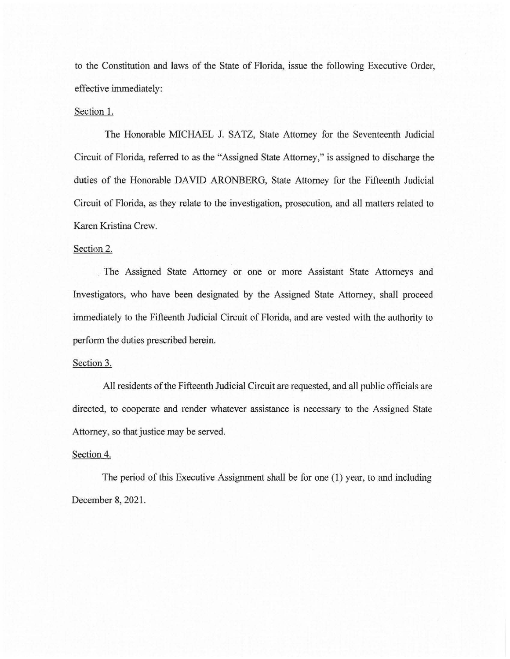to the Constitution and laws of the State of Florida, issue the following Executive Order, effective immediately:

### Section 1.

The Honorable MICHAEL J. SATZ, State Attorney for the Seventeenth Judicial Circuit of Florida, referred to as the "Assigned State Attorney," is assigned to discharge the duties of the Honorable DAVID ARONBERG, State Attorney for the Fifteenth Judicial Circuit of Florida, as they relate to the investigation, prosecution, and all matters related to Karen Kristina Crew.

### Section 2.

The Assigned State Attorney or one or more Assistant State Attorneys and Investigators, who have been designated by the Assigned State Attorney, shall proceed immediately to the Fifteenth Judicial Circuit of Florida, and are vested with the authority to perform the duties prescribed herein.

#### Section 3.

All residents of the Fifteenth Judicial Circuit are requested, and all public officials are directed, to cooperate and render whatever assistance is necessary to the Assigned State Attorney, so that justice may be served.

## Section 4.

The period of this Executive Assignment shall be for one (1) year, to and including December 8, 2021.